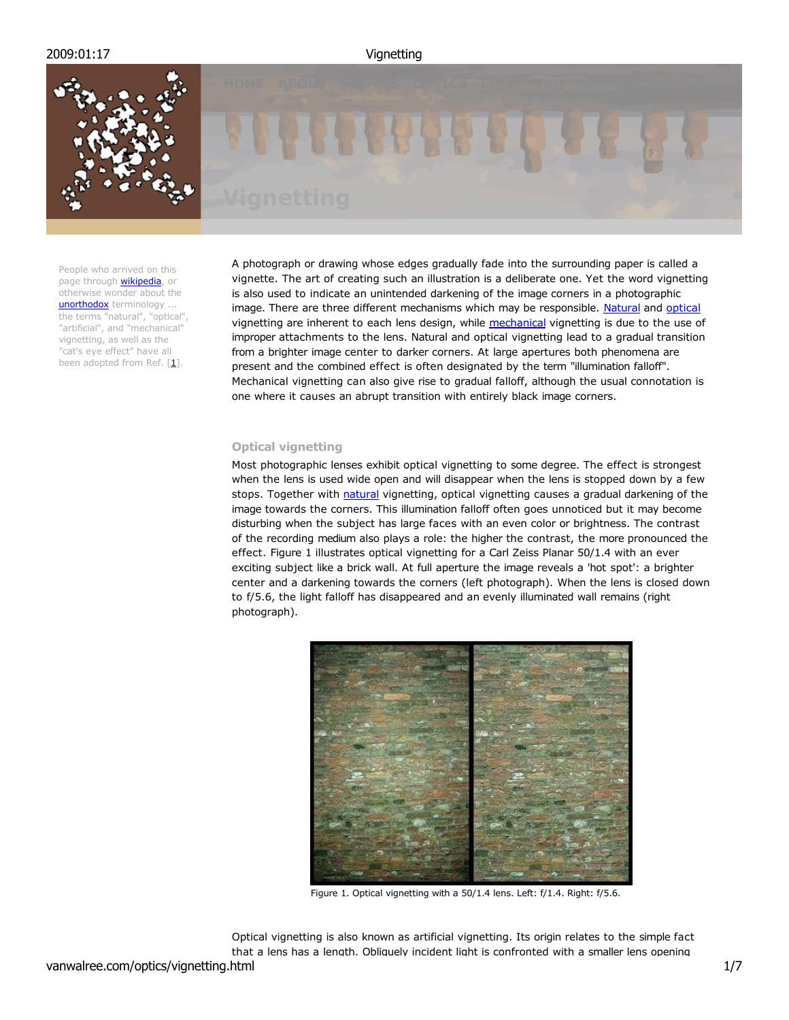

People who arrived on this page through **wikipedia**, or otherwise wonder about the unorthodox terminology ... the terms "natural", "optical", "artificial", and "mechanical" vignetting, as well as the "cat's eye effect" have all been adopted from Ref.  $[1]$ .



A photograph or drawing whose edges gradually fade into the surrounding paper is called a vignette. The art of creating such an illustration is a deliberate one. Yet the word vignetting is also used to indicate an unintended darkening of the image corners in a photographic image. There are three different mechanisms which may be responsible. Natural and optical vignetting are inherent to each lens design, while mechanical vignetting is due to the use of improper attachments to the lens. Natural and optical vignetting lead to a gradual transition from a brighter image center to darker corners. At large apertures both phenomena are present and the combined effect is often designated by the term "illumination falloff". Mechanical vignetting can also give rise to gradual falloff, although the usual connotation is one where it causes an abrupt transition with entirely black image corners.

# **Optical vignetting**

Most photographic lenses exhibit optical vignetting to some degree. The effect is strongest when the lens is used wide open and will disappear when the lens is stopped down by a few stops. Together with natural vignetting, optical vignetting causes a gradual darkening of the image towards the corners. This illumination falloff often goes unnoticed but it may become disturbing when the subject has large faces with an even color or brightness. The contrast of the recording medium also plays a role: the higher the contrast, the more pronounced the effect. Figure 1 illustrates optical vignetting for a Carl Zeiss Planar 50/1.4 with an ever exciting subject like a brick wall. At full aperture the image reveals a 'hot spot': a brighter center and a darkening towards the corners (left photograph). When the lens is closed down to f/5.6, the light falloff has disappeared and an evenly illuminated wall remains (right photograph).



Figure 1. Optical vignetting with a 50/1.4 lens. Left: f/1.4. Right: f/5.6.

Optical vignetting is also known as artificial vignetting. Its origin relates to the simple fact that a lens has a length. Obliquely incident light is confronted with a smaller lens opening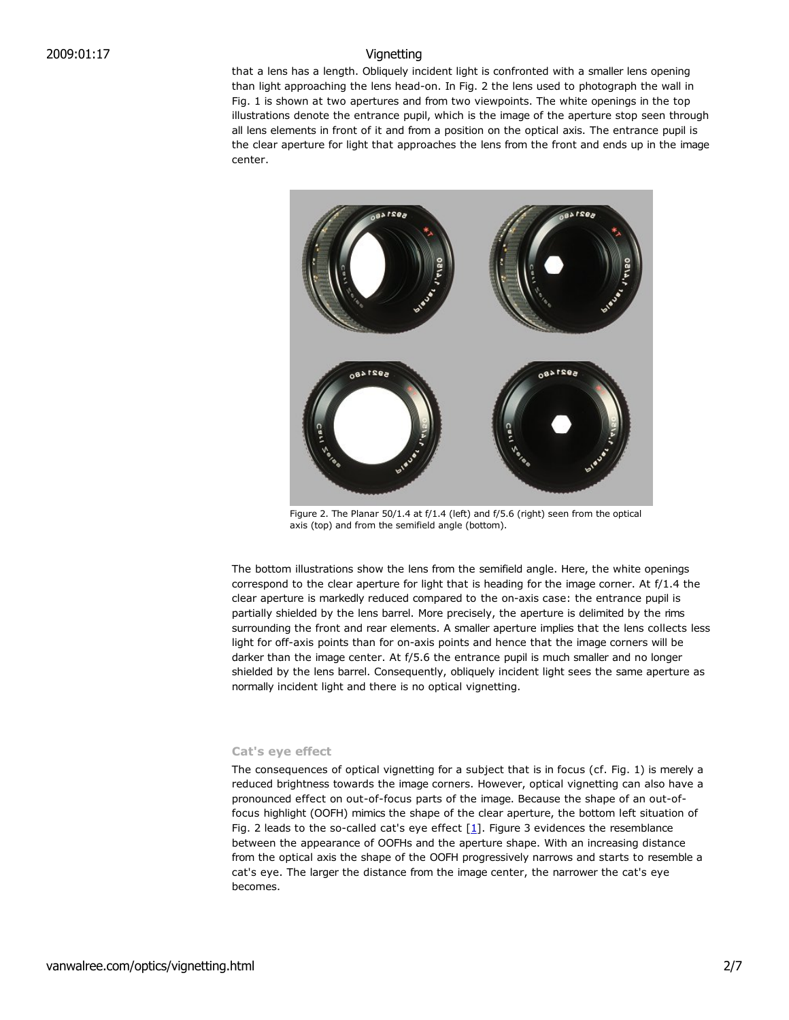that a lens has a length. Obliquely incident light is confronted with a smaller lens opening than light approaching the lens head-on. In Fig. 2 the lens used to photograph the wall in Fig. 1 is shown at two apertures and from two viewpoints. The white openings in the top illustrations denote the entrance pupil, which is the image of the aperture stop seen through all lens elements in front of it and from a position on the optical axis. The entrance pupil is the clear aperture for light that approaches the lens from the front and ends up in the image center.



Figure 2. The Planar 50/1.4 at f/1.4 (left) and f/5.6 (right) seen from the optical axis (top) and from the semifield angle (bottom).

The bottom illustrations show the lens from the semifield angle. Here, the white openings correspond to the clear aperture for light that is heading for the image corner. At f/1.4 the clear aperture is markedly reduced compared to the on-axis case: the entrance pupil is partially shielded by the lens barrel. More precisely, the aperture is delimited by the rims surrounding the front and rear elements. A smaller aperture implies that the lens collects less light for off-axis points than for on-axis points and hence that the image corners will be darker than the image center. At f/5.6 the entrance pupil is much smaller and no longer shielded by the lens barrel. Consequently, obliquely incident light sees the same aperture as normally incident light and there is no optical vignetting.

## **Cat's eye effect**

The consequences of optical vignetting for a subject that is in focus (cf. Fig. 1) is merely a reduced brightness towards the image corners. However, optical vignetting can also have a pronounced effect on out-of-focus parts of the image. Because the shape of an out-offocus highlight (OOFH) mimics the shape of the clear aperture, the bottom left situation of Fig. 2 leads to the so-called cat's eye effect  $[1]$ . Figure 3 evidences the resemblance between the appearance of OOFHs and the aperture shape. With an increasing distance from the optical axis the shape of the OOFH progressively narrows and starts to resemble a cat's eye. The larger the distance from the image center, the narrower the cat's eye becomes.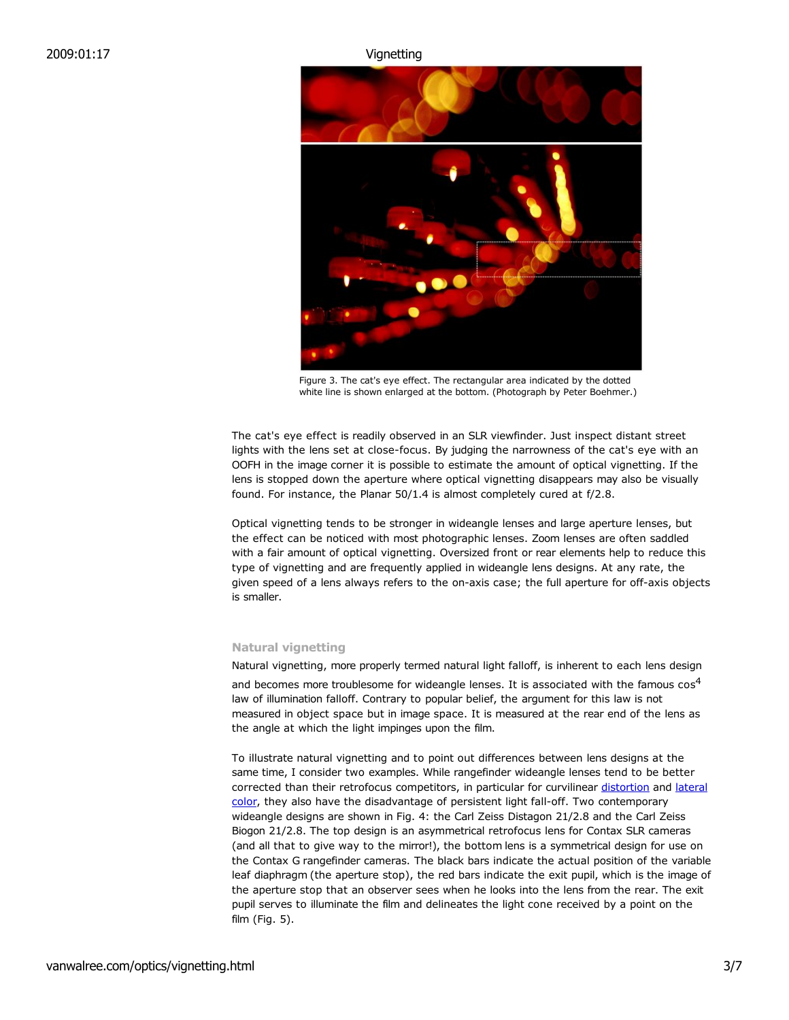

Figure 3. The cat's eye effect. The rectangular area indicated by the dotted white line is shown enlarged at the bottom. (Photograph by Peter Boehmer.)

The cat's eye effect is readily observed in an SLR viewfinder. Just inspect distant street lights with the lens set at close-focus. By judging the narrowness of the cat's eye with an OOFH in the image corner it is possible to estimate the amount of optical vignetting. If the lens is stopped down the aperture where optical vignetting disappears may also be visually found. For instance, the Planar 50/1.4 is almost completely cured at f/2.8.

Optical vignetting tends to be stronger in wideangle lenses and large aperture lenses, but the effect can be noticed with most photographic lenses. Zoom lenses are often saddled with a fair amount of optical vignetting. Oversized front or rear elements help to reduce this type of vignetting and are frequently applied in wideangle lens designs. At any rate, the given speed of a lens always refers to the on-axis case; the full aperture for off-axis objects is smaller.

# **Natural vignetting**

Natural vignetting, more properly termed natural light falloff, is inherent to each lens design and becomes more troublesome for wideangle lenses. It is associated with the famous  $\cos^4$ law of illumination falloff. Contrary to popular belief, the argument for this law is not measured in object space but in image space. It is measured at the rear end of the lens as the angle at which the light impinges upon the film.

To illustrate natural vignetting and to point out differences between lens designs at the same time, I consider two examples. While rangefinder wideangle lenses tend to be better corrected than their retrofocus competitors, in particular for curvilinear distortion and lateral color, they also have the disadvantage of persistent light fall-off. Two contemporary wideangle designs are shown in Fig. 4: the Carl Zeiss Distagon 21/2.8 and the Carl Zeiss Biogon 21/2.8. The top design is an asymmetrical retrofocus lens for Contax SLR cameras (and all that to give way to the mirror!), the bottom lens is a symmetrical design for use on the Contax G rangefinder cameras. The black bars indicate the actual position of the variable leaf diaphragm (the aperture stop), the red bars indicate the exit pupil, which is the image of the aperture stop that an observer sees when he looks into the lens from the rear. The exit pupil serves to illuminate the film and delineates the light cone received by a point on the film (Fig. 5).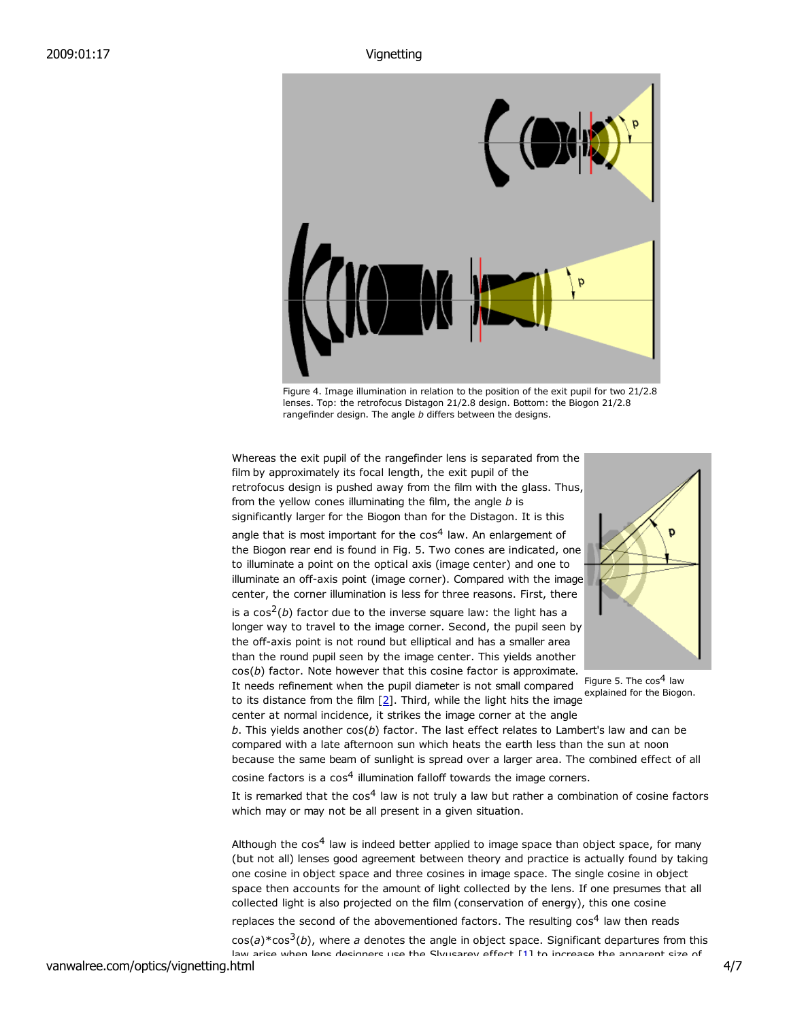

Figure 4. Image illumination in relation to the position of the exit pupil for two 21/2.8 lenses. Top: the retrofocus Distagon 21/2.8 design. Bottom: the Biogon 21/2.8 rangefinder design. The angle *b* differs between the designs.

Whereas the exit pupil of the rangefinder lens is separated from the film by approximately its focal length, the exit pupil of the retrofocus design is pushed away from the film with the glass. Thus, from the yellow cones illuminating the film, the angle *b* is significantly larger for the Biogon than for the Distagon. It is this

angle that is most important for the  $cos<sup>4</sup>$  law. An enlargement of the Biogon rear end is found in Fig. 5. Two cones are indicated, one to illuminate a point on the optical axis (image center) and one to illuminate an off-axis point (image corner). Compared with the image center, the corner illumination is less for three reasons. First, there

is a  $\cos^2(b)$  factor due to the inverse square law: the light has a longer way to travel to the image corner. Second, the pupil seen by the off-axis point is not round but elliptical and has a smaller area than the round pupil seen by the image center. This yields another cos(*b*) factor. Note however that this cosine factor is approximate.

It needs refinement when the pupil diameter is not small compared

center at normal incidence, it strikes the image corner at the angle



explained for the Biogon.<br>to its distance from the film [2]. Third, while the light hits the image Figure 5. The  $cos<sup>4</sup>$  law

*b*. This yields another cos(*b*) factor. The last effect relates to Lambert's law and can be compared with a late afternoon sun which heats the earth less than the sun at noon because the same beam of sunlight is spread over a larger area. The combined effect of all

cosine factors is a  $cos<sup>4</sup>$  illumination falloff towards the image corners.

It is remarked that the  $\cos^4$  law is not truly a law but rather a combination of cosine factors which may or may not be all present in a given situation.

Although the  $cos<sup>4</sup>$  law is indeed better applied to image space than object space, for many (but not all) lenses good agreement between theory and practice is actually found by taking one cosine in object space and three cosines in image space. The single cosine in object space then accounts for the amount of light collected by the lens. If one presumes that all collected light is also projected on the film (conservation of energy), this one cosine replaces the second of the abovementioned factors. The resulting  $\cos^4$  law then reads

cos(*a*)\*cos3(*b*), where *a* denotes the angle in object space. Significant departures from this law arice when lens decinners use the Slyusarev effect [1] to increase the annarent size of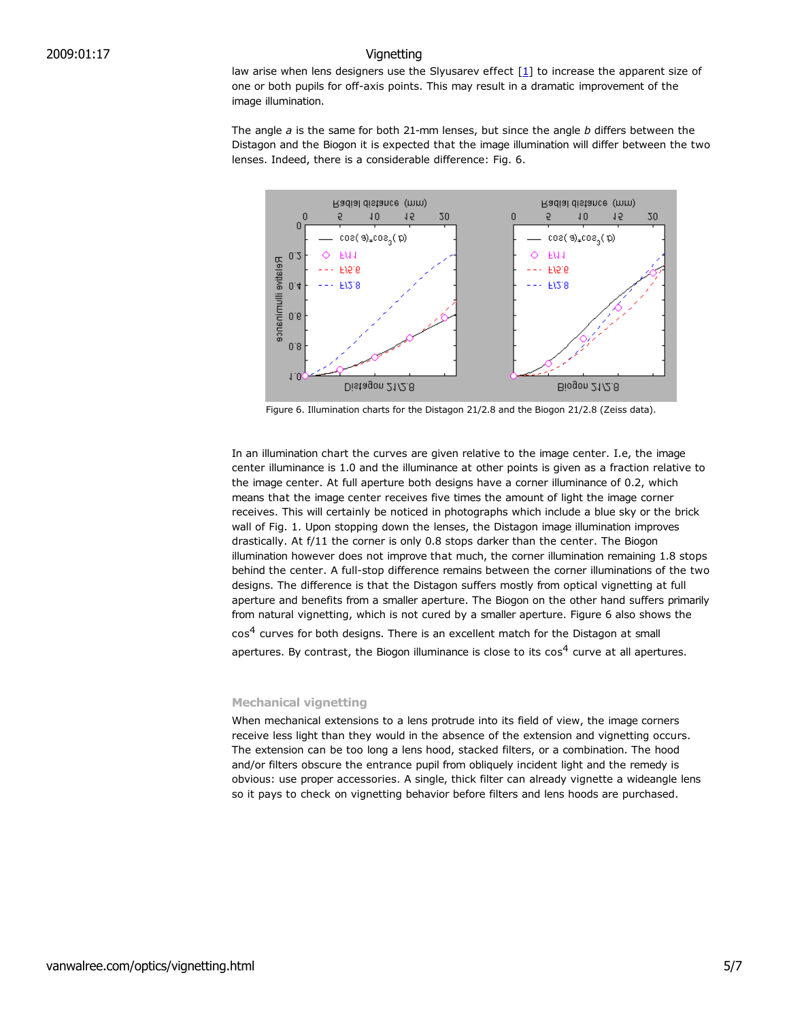law arise when lens designers use the Slyusarev effect  $[1]$  to increase the apparent size of one or both pupils for off-axis points. This may result in a dramatic improvement of the image illumination.

The angle *a* is the same for both 21-mm lenses, but since the angle *b* differs between the Distagon and the Biogon it is expected that the image illumination will differ between the two lenses. Indeed, there is a considerable difference: Fig. 6.



Figure 6. Illumination charts for the Distagon 21/2.8 and the Biogon 21/2.8 (Zeiss data).

In an illumination chart the curves are given relative to the image center. I.e, the image center illuminance is 1.0 and the illuminance at other points is given as a fraction relative to the image center. At full aperture both designs have a corner illuminance of 0.2, which means that the image center receives five times the amount of light the image corner receives. This will certainly be noticed in photographs which include a blue sky or the brick wall of Fig. 1. Upon stopping down the lenses, the Distagon image illumination improves drastically. At f/11 the corner is only 0.8 stops darker than the center. The Biogon illumination however does not improve that much, the corner illumination remaining 1.8 stops behind the center. A full-stop difference remains between the corner illuminations of the two designs. The difference is that the Distagon suffers mostly from optical vignetting at full aperture and benefits from a smaller aperture. The Biogon on the other hand suffers primarily from natural vignetting, which is not cured by a smaller aperture. Figure 6 also shows the

cos<sup>4</sup> curves for both designs. There is an excellent match for the Distagon at small apertures. By contrast, the Biogon illuminance is close to its  $cos<sup>4</sup>$  curve at all apertures.

### **Mechanical vignetting**

When mechanical extensions to a lens protrude into its field of view, the image corners receive less light than they would in the absence of the extension and vignetting occurs. The extension can be too long a lens hood, stacked filters, or a combination. The hood and/or filters obscure the entrance pupil from obliquely incident light and the remedy is obvious: use proper accessories. A single, thick filter can already vignette a wideangle lens so it pays to check on vignetting behavior before filters and lens hoods are purchased.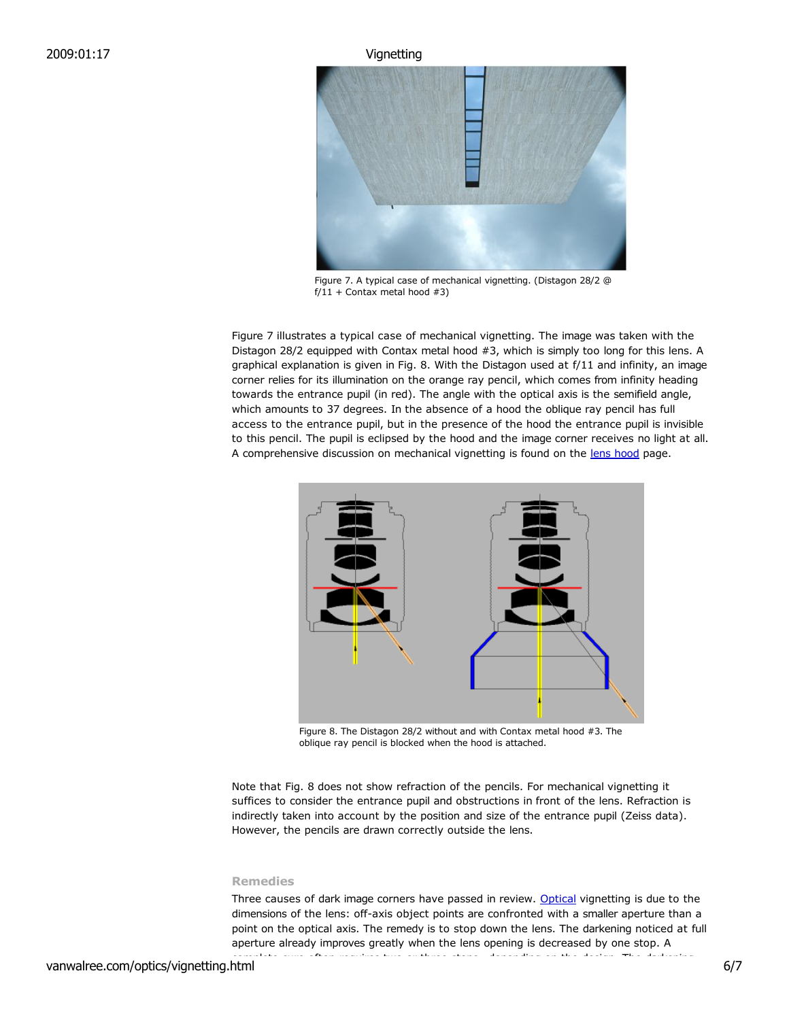

Figure 7. A typical case of mechanical vignetting. (Distagon 28/2 @  $f/11 +$  Contax metal hood #3)

Figure 7 illustrates a typical case of mechanical vignetting. The image was taken with the Distagon 28/2 equipped with Contax metal hood #3, which is simply too long for this lens. A graphical explanation is given in Fig. 8. With the Distagon used at f/11 and infinity, an image corner relies for its illumination on the orange ray pencil, which comes from infinity heading towards the entrance pupil (in red). The angle with the optical axis is the semifield angle, which amounts to 37 degrees. In the absence of a hood the oblique ray pencil has full access to the entrance pupil, but in the presence of the hood the entrance pupil is invisible to this pencil. The pupil is eclipsed by the hood and the image corner receives no light at all. A comprehensive discussion on mechanical vignetting is found on the lens hood page.



Figure 8. The Distagon 28/2 without and with Contax metal hood #3. The oblique ray pencil is blocked when the hood is attached.

Note that Fig. 8 does not show refraction of the pencils. For mechanical vignetting it suffices to consider the entrance pupil and obstructions in front of the lens. Refraction is indirectly taken into account by the position and size of the entrance pupil (Zeiss data). However, the pencils are drawn correctly outside the lens.

## **Remedies**

Three causes of dark image corners have passed in review. Optical vignetting is due to the dimensions of the lens: off-axis object points are confronted with a smaller aperture than a point on the optical axis. The remedy is to stop down the lens. The darkening noticed at full aperture already improves greatly when the lens opening is decreased by one stop. A